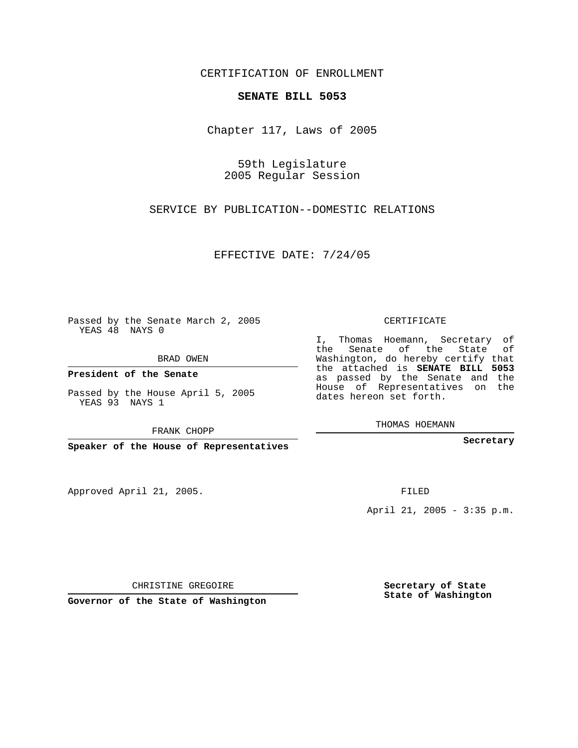CERTIFICATION OF ENROLLMENT

## **SENATE BILL 5053**

Chapter 117, Laws of 2005

59th Legislature 2005 Regular Session

SERVICE BY PUBLICATION--DOMESTIC RELATIONS

EFFECTIVE DATE: 7/24/05

Passed by the Senate March 2, 2005 YEAS 48 NAYS 0

BRAD OWEN

**President of the Senate**

Passed by the House April 5, 2005 YEAS 93 NAYS 1

FRANK CHOPP

**Speaker of the House of Representatives**

Approved April 21, 2005.

CERTIFICATE

I, Thomas Hoemann, Secretary of the Senate of the State of Washington, do hereby certify that the attached is **SENATE BILL 5053** as passed by the Senate and the House of Representatives on the dates hereon set forth.

THOMAS HOEMANN

**Secretary**

FILED

April 21, 2005 - 3:35 p.m.

CHRISTINE GREGOIRE

**Governor of the State of Washington**

**Secretary of State State of Washington**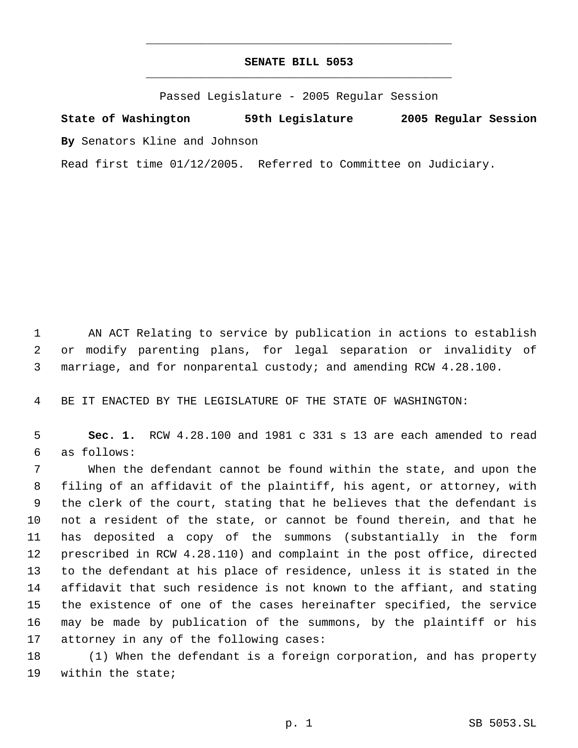## **SENATE BILL 5053** \_\_\_\_\_\_\_\_\_\_\_\_\_\_\_\_\_\_\_\_\_\_\_\_\_\_\_\_\_\_\_\_\_\_\_\_\_\_\_\_\_\_\_\_\_

\_\_\_\_\_\_\_\_\_\_\_\_\_\_\_\_\_\_\_\_\_\_\_\_\_\_\_\_\_\_\_\_\_\_\_\_\_\_\_\_\_\_\_\_\_

Passed Legislature - 2005 Regular Session

**State of Washington 59th Legislature 2005 Regular Session By** Senators Kline and Johnson

Read first time 01/12/2005. Referred to Committee on Judiciary.

 AN ACT Relating to service by publication in actions to establish or modify parenting plans, for legal separation or invalidity of marriage, and for nonparental custody; and amending RCW 4.28.100.

BE IT ENACTED BY THE LEGISLATURE OF THE STATE OF WASHINGTON:

 **Sec. 1.** RCW 4.28.100 and 1981 c 331 s 13 are each amended to read as follows:

 When the defendant cannot be found within the state, and upon the filing of an affidavit of the plaintiff, his agent, or attorney, with the clerk of the court, stating that he believes that the defendant is not a resident of the state, or cannot be found therein, and that he has deposited a copy of the summons (substantially in the form prescribed in RCW 4.28.110) and complaint in the post office, directed to the defendant at his place of residence, unless it is stated in the affidavit that such residence is not known to the affiant, and stating the existence of one of the cases hereinafter specified, the service may be made by publication of the summons, by the plaintiff or his attorney in any of the following cases:

 (1) When the defendant is a foreign corporation, and has property within the state;